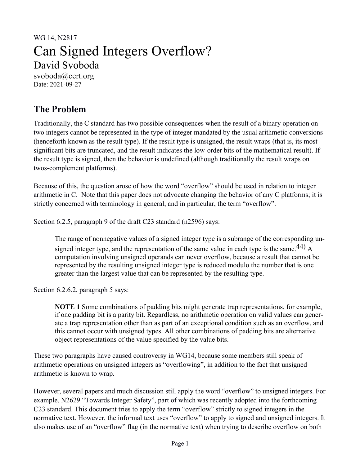# WG 14, N2817 Can Signed Integers Overflow? David Svoboda svoboda@cert.org

Date: 2021-09-27

## **The Problem**

Traditionally, the C standard has two possible consequences when the result of a binary operation on two integers cannot be represented in the type of integer mandated by the usual arithmetic conversions (henceforth known as the result type). If the result type is unsigned, the result wraps (that is, its most significant bits are truncated, and the result indicates the low-order bits of the mathematical result). If the result type is signed, then the behavior is undefined (although traditionally the result wraps on twos-complement platforms).

Because of this, the question arose of how the word "overflow" should be used in relation to integer arithmetic in C. Note that this paper does not advocate changing the behavior of any C platforms; it is strictly concerned with terminology in general, and in particular, the term "overflow".

Section 6.2.5, paragraph 9 of the draft C23 standard (n2596) says:

The range of nonnegative values of a signed integer type is a subrange of the corresponding unsigned integer type, and the representation of the same value in each type is the same.<sup>44)</sup> A computation involving unsigned operands can never overflow, because a result that cannot be represented by the resulting unsigned integer type is reduced modulo the number that is one greater than the largest value that can be represented by the resulting type.

Section 6.2.6.2, paragraph 5 says:

**NOTE 1** Some combinations of padding bits might generate trap representations, for example, if one padding bit is a parity bit. Regardless, no arithmetic operation on valid values can generate a trap representation other than as part of an exceptional condition such as an overflow, and this cannot occur with unsigned types. All other combinations of padding bits are alternative object representations of the value specified by the value bits.

These two paragraphs have caused controversy in WG14, because some members still speak of arithmetic operations on unsigned integers as "overflowing", in addition to the fact that unsigned arithmetic is known to wrap.

However, several papers and much discussion still apply the word "overflow" to unsigned integers. For example, N2629 "Towards Integer Safety", part of which was recently adopted into the forthcoming C23 standard. This document tries to apply the term "overflow" strictly to signed integers in the normative text. However, the informal text uses "overflow" to apply to signed and unsigned integers. It also makes use of an "overflow" flag (in the normative text) when trying to describe overflow on both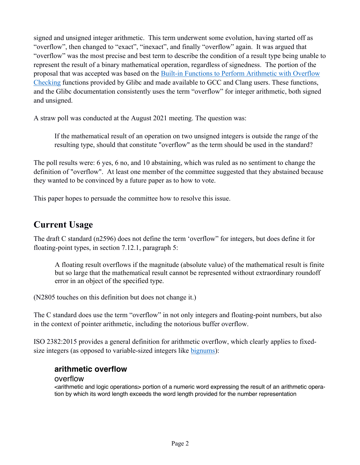signed and unsigned integer arithmetic. This term underwent some evolution, having started off as "overflow", then changed to "exact", "inexact", and finally "overflow" again. It was argued that "overflow" was the most precise and best term to describe the condition of a result type being unable to represent the result of a binary mathematical operation, regardless of signedness. The portion of the proposal that was accepted was based on the Built-in Functions to Perform Arithmetic with Overflow Checking functions provided by Glibc and made available to GCC and Clang users. These functions, and the Glibc documentation consistently uses the term "overflow" for integer arithmetic, both signed and unsigned.

A straw poll was conducted at the August 2021 meeting. The question was:

If the mathematical result of an operation on two unsigned integers is outside the range of the resulting type, should that constitute "overflow" as the term should be used in the standard?

The poll results were: 6 yes, 6 no, and 10 abstaining, which was ruled as no sentiment to change the definition of "overflow". At least one member of the committee suggested that they abstained because they wanted to be convinced by a future paper as to how to vote.

This paper hopes to persuade the committee how to resolve this issue.

### **Current Usage**

The draft C standard (n2596) does not define the term 'overflow" for integers, but does define it for floating-point types, in section 7.12.1, paragraph 5:

A floating result overflows if the magnitude (absolute value) of the mathematical result is finite but so large that the mathematical result cannot be represented without extraordinary roundoff error in an object of the specified type.

(N2805 touches on this definition but does not change it.)

The C standard does use the term "overflow" in not only integers and floating-point numbers, but also in the context of pointer arithmetic, including the notorious buffer overflow.

ISO 2382:2015 provides a general definition for arithmetic overflow, which clearly applies to fixedsize integers (as opposed to variable-sized integers like bignums):

#### **arithmetic overflow**

#### overflow

<arithmetic and logic operations> portion of a numeric word expressing the result of an arithmetic operation by which its word length exceeds the word length provided for the number representation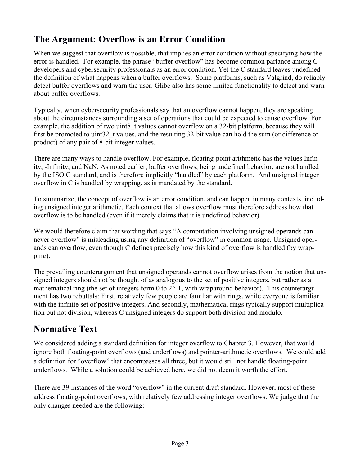## **The Argument: Overflow is an Error Condition**

When we suggest that overflow is possible, that implies an error condition without specifying how the error is handled. For example, the phrase "buffer overflow" has become common parlance among C developers and cybersecurity professionals as an error condition. Yet the C standard leaves undefined the definition of what happens when a buffer overflows. Some platforms, such as Valgrind, do reliably detect buffer overflows and warn the user. Glibc also has some limited functionality to detect and warn about buffer overflows.

Typically, when cybersecurity professionals say that an overflow cannot happen, they are speaking about the circumstances surrounding a set of operations that could be expected to cause overflow. For example, the addition of two uint8 t values cannot overflow on a 32-bit platform, because they will first be promoted to uint32\_t values, and the resulting 32-bit value can hold the sum (or difference or product) of any pair of 8-bit integer values.

There are many ways to handle overflow. For example, floating-point arithmetic has the values Infinity, -Infinity, and NaN. As noted earlier, buffer overflows, being undefined behavior, are not handled by the ISO C standard, and is therefore implicitly "handled" by each platform. And unsigned integer overflow in C is handled by wrapping, as is mandated by the standard.

To summarize, the concept of overflow is an error condition, and can happen in many contexts, including unsigned integer arithmetic. Each context that allows overflow must therefore address how that overflow is to be handled (even if it merely claims that it is undefined behavior).

We would therefore claim that wording that says "A computation involving unsigned operands can never overflow" is misleading using any definition of "overflow" in common usage. Unsigned operands can overflow, even though C defines precisely how this kind of overflow is handled (by wrapping).

The prevailing counterargument that unsigned operands cannot overflow arises from the notion that unsigned integers should not be thought of as analogous to the set of positive integers, but rather as a mathematical ring (the set of integers form 0 to  $2^N-1$ , with wraparound behavior). This counterargument has two rebuttals: First, relatively few people are familiar with rings, while everyone is familiar with the infinite set of positive integers. And secondly, mathematical rings typically support multiplication but not division, whereas C unsigned integers do support both division and modulo.

## **Normative Text**

We considered adding a standard definition for integer overflow to Chapter 3. However, that would ignore both floating-point overflows (and underflows) and pointer-arithmetic overflows. We could add a definition for "overflow" that encompasses all three, but it would still not handle floating-point underflows. While a solution could be achieved here, we did not deem it worth the effort.

There are 39 instances of the word "overflow" in the current draft standard. However, most of these address floating-point overflows, with relatively few addressing integer overflows. We judge that the only changes needed are the following: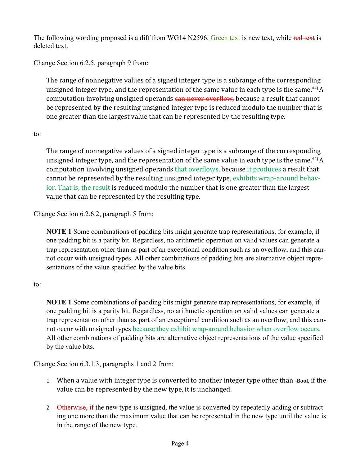The following wording proposed is a diff from WG14 N2596. Green text is new text, while red text is deleted text.

Change Section 6.2.5, paragraph 9 from:

The range of nonnegative values of a signed integer type is a subrange of the corresponding unsigned integer type, and the representation of the same value in each type is the same.<sup>44)</sup> A computation involving unsigned operands can never overflow, because a result that cannot be represented by the resulting unsigned integer type is reduced modulo the number that is one greater than the largest value that can be represented by the resulting type.

#### to:

The range of nonnegative values of a signed integer type is a subrange of the corresponding unsigned integer type, and the representation of the same value in each type is the same.<sup>44</sup> A computation involving unsigned operands that overflows, because it produces a result that cannot be represented by the resulting unsigned integer type, exhibits wrap-around behavior. That is, the result is reduced modulo the number that is one greater than the largest value that can be represented by the resulting type.

Change Section 6.2.6.2, paragraph 5 from:

**NOTE 1** Some combinations of padding bits might generate trap representations, for example, if one padding bit is a parity bit. Regardless, no arithmetic operation on valid values can generate a trap representation other than as part of an exceptional condition such as an overflow, and this cannot occur with unsigned types. All other combinations of padding bits are alternative object representations of the value specified by the value bits.

#### to:

**NOTE 1** Some combinations of padding bits might generate trap representations, for example, if one padding bit is a parity bit. Regardless, no arithmetic operation on valid values can generate a trap representation other than as part of an exceptional condition such as an overflow, and this cannot occur with unsigned types because they exhibit wrap-around behavior when overflow occurs. All other combinations of padding bits are alternative object representations of the value specified by the value bits.

Change Section 6.3.1.3, paragraphs 1 and 2 from:

- 1. When a value with integer type is converted to another integer type other than **Bool**, if the value can be represented by the new type, it is unchanged.
- 2. Otherwise, if the new type is unsigned, the value is converted by repeatedly adding or subtracting one more than the maximum value that can be represented in the new type until the value is in the range of the new type.